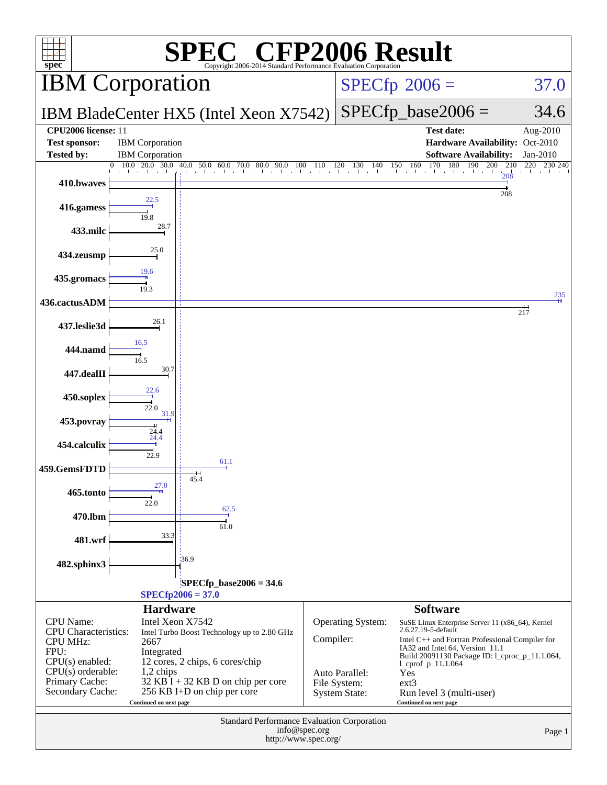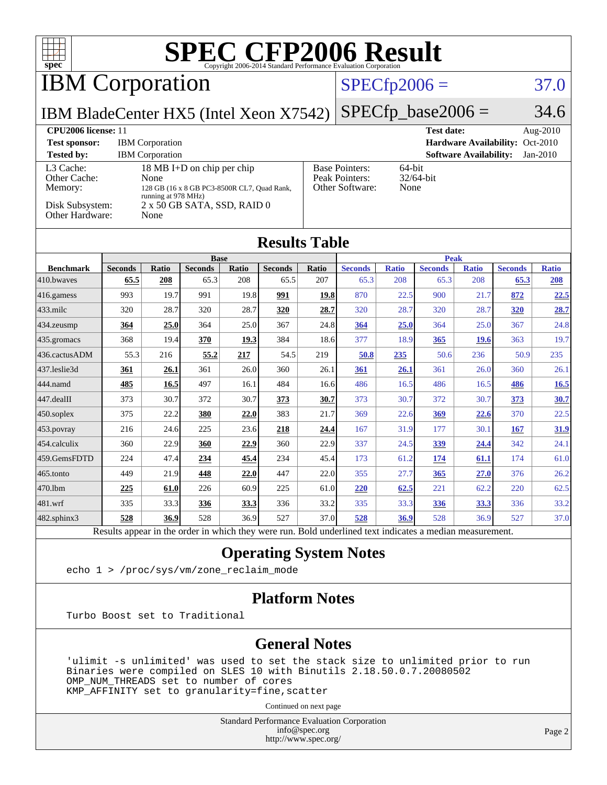| $spec^*$                                                                          |                        |                                                  |                                                                                                          |              | <b>SPEC CFP2006 Result</b><br>Copyright 2006-2014 Standard Performance Evaluation Corporation |              |                                                            |                     |                        |                               |                                 |                        |
|-----------------------------------------------------------------------------------|------------------------|--------------------------------------------------|----------------------------------------------------------------------------------------------------------|--------------|-----------------------------------------------------------------------------------------------|--------------|------------------------------------------------------------|---------------------|------------------------|-------------------------------|---------------------------------|------------------------|
| <b>IBM</b> Corporation                                                            |                        |                                                  |                                                                                                          |              |                                                                                               |              |                                                            | $SPECfp2006 =$      |                        |                               |                                 | 37.0                   |
| IBM BladeCenter HX5 (Intel Xeon X7542)                                            |                        |                                                  |                                                                                                          |              |                                                                                               |              |                                                            |                     | $SPECfp\_base2006 =$   |                               |                                 | 34.6                   |
| <b>CPU2006 license: 11</b><br><b>Test sponsor:</b><br><b>Tested by:</b>           |                        | <b>IBM</b> Corporation<br><b>IBM</b> Corporation |                                                                                                          |              |                                                                                               |              |                                                            |                     | <b>Test date:</b>      | <b>Software Availability:</b> | Hardware Availability: Oct-2010 | Aug-2010<br>$Jan-2010$ |
| L3 Cache:<br>Other Cache:<br>Memory:<br>Disk Subsystem:<br><b>Other Hardware:</b> |                        | None<br>running at 978 MHz)<br>None              | 18 MB I+D on chip per chip<br>128 GB (16 x 8 GB PC3-8500R CL7, Quad Rank,<br>2 x 50 GB SATA, SSD, RAID 0 |              |                                                                                               |              | <b>Base Pointers:</b><br>Peak Pointers:<br>Other Software: | 64-bit<br>None      | $32/64$ -bit           |                               |                                 |                        |
|                                                                                   |                        |                                                  |                                                                                                          |              | <b>Results Table</b>                                                                          |              |                                                            |                     |                        |                               |                                 |                        |
|                                                                                   |                        |                                                  | <b>Base</b>                                                                                              |              |                                                                                               |              |                                                            |                     | <b>Peak</b>            |                               |                                 |                        |
| <b>Benchmark</b><br>410.bwayes                                                    | <b>Seconds</b><br>65.5 | <b>Ratio</b><br>208                              | <b>Seconds</b><br>65.3                                                                                   | Ratio<br>208 | <b>Seconds</b><br>65.5                                                                        | Ratio<br>207 | <b>Seconds</b><br>65.3                                     | <b>Ratio</b><br>208 | <b>Seconds</b><br>65.3 | <b>Ratio</b><br>208           | <b>Seconds</b><br>65.3          | <b>Ratio</b><br>208    |
| 416.gamess                                                                        | 993                    | 19.7                                             | 991                                                                                                      | 19.8         | 991                                                                                           | 19.8         | 870                                                        | 22.5                | 900                    | 21.7                          | 872                             | 22.5                   |
| 433.milc                                                                          | 320                    | 28.7                                             | 320                                                                                                      | 28.7         | 320                                                                                           | 28.7         | 320                                                        | 28.7                | 320                    | 28.7                          | 320                             | 28.7                   |
| 434.zeusmp                                                                        | 364                    | 25.0                                             | 364                                                                                                      | 25.0         | 367                                                                                           | 24.8         | 364                                                        | 25.0                | 364                    | 25.0                          | 367                             | 24.8                   |
| 435.gromacs                                                                       | 368                    | 19.4                                             | 370                                                                                                      | 19.3         | 384                                                                                           | 18.6         | 377                                                        | 18.9                | 365                    | 19.6                          | 363                             | 19.7                   |
| 436.cactusADM                                                                     | 55.3                   | 216                                              | 55.2                                                                                                     | 217          | 54.5                                                                                          | 219          | 50.8                                                       | 235                 | 50.6                   | 236                           | 50.9                            | 235                    |
| 437.leslie3d                                                                      | 361                    | 26.1                                             | 361                                                                                                      | 26.0         | 360                                                                                           | 26.1         | 361                                                        | 26.1                | 361                    | 26.0                          | 360                             | 26.1                   |
| 444.namd                                                                          | 485                    | 16.5                                             | 497                                                                                                      | 16.1         | 484                                                                                           | 16.6         | 486                                                        | 16.5                | 486                    | 16.5                          | 486                             | 16.5                   |
| 447.dealII                                                                        | 373                    | 30.7                                             | 372                                                                                                      | 30.7         | 373                                                                                           | 30.7         | 373                                                        | 30.7                | 372                    | 30.7                          | 373                             | 30.7                   |
| 450.soplex                                                                        | 375                    | 22.2                                             | 380                                                                                                      | 22.0         | 383                                                                                           | 21.7         | 369                                                        | 22.6                | 369                    | 22.6                          | 370                             | 22.5                   |
| 453.povray                                                                        | 216                    | 24.6                                             | 225                                                                                                      | 23.6         | 218                                                                                           | 24.4         | 167                                                        | 31.9                | 177                    | 30.1                          | 167                             | 31.9                   |
| 454.calculix                                                                      | 360                    | 22.9                                             | 360                                                                                                      | 22.9         | 360                                                                                           | 22.9         | 337                                                        | 24.5                | 339                    | <u>24.4</u>                   | 342                             | 24.1                   |
| 459.GemsFDTD                                                                      | 224                    | 47.4                                             | 234                                                                                                      | 45.4         | 234                                                                                           | 45.4         | 173                                                        | 61.2                | 174                    | 61.1                          | 174                             | 61.0                   |
| 465.tonto                                                                         | 449                    | 21.9                                             | 448                                                                                                      | 22.0         | 447                                                                                           | 22.0         | 355                                                        | 27.7                | 365                    | 27.0                          | 376                             | 26.2                   |
| 470.1bm                                                                           | 225                    | 61.0                                             | 226                                                                                                      | 60.9         | 225                                                                                           | 61.0         | 220                                                        | 62.5                | 221                    | 62.2                          | 220                             | 62.5                   |
| 481.wrf                                                                           | 335                    | 33.3                                             | 336                                                                                                      | 33.3         | 336                                                                                           | 33.2         | 335                                                        | 33.3                | 336                    | 33.3                          | 336                             | 33.2                   |
| 482.sphinx3                                                                       | 528                    | 36.9                                             | 528                                                                                                      | 36.9         | 527                                                                                           | 37.0         | 528                                                        | 36.9                | 528                    | 36.9                          | 527                             | 37.0                   |

### Results appear in the [order in which they were run.](http://www.spec.org/auto/cpu2006/Docs/result-fields.html#RunOrder) Bold underlined text [indicates a median measurement.](http://www.spec.org/auto/cpu2006/Docs/result-fields.html#Median)

### **[Operating System Notes](http://www.spec.org/auto/cpu2006/Docs/result-fields.html#OperatingSystemNotes)**

echo 1 > /proc/sys/vm/zone\_reclaim\_mode

### **[Platform Notes](http://www.spec.org/auto/cpu2006/Docs/result-fields.html#PlatformNotes)**

Turbo Boost set to Traditional

### **[General Notes](http://www.spec.org/auto/cpu2006/Docs/result-fields.html#GeneralNotes)**

 'ulimit -s unlimited' was used to set the stack size to unlimited prior to run Binaries were compiled on SLES 10 with Binutils 2.18.50.0.7.20080502 OMP\_NUM\_THREADS set to number of cores KMP\_AFFINITY set to granularity=fine,scatter

Continued on next page

Standard Performance Evaluation Corporation [info@spec.org](mailto:info@spec.org) <http://www.spec.org/>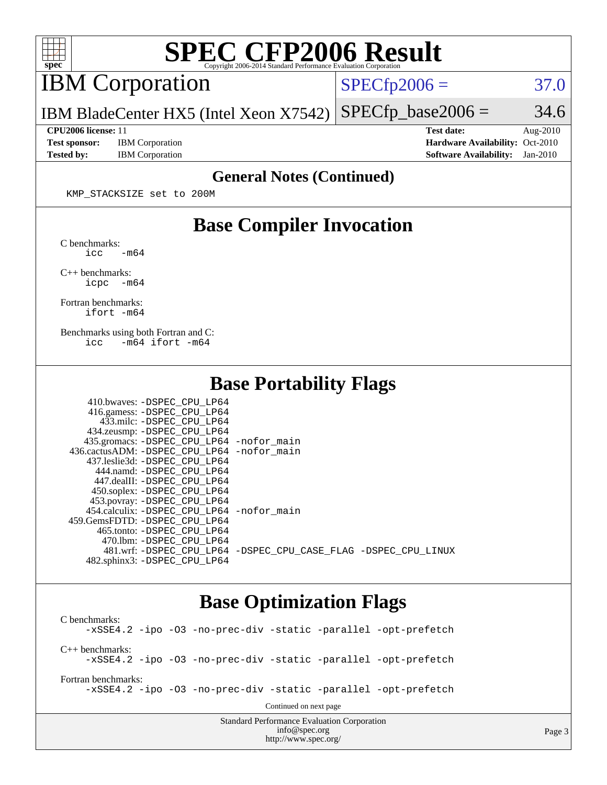

## **[SPEC CFP2006 Result](http://www.spec.org/auto/cpu2006/Docs/result-fields.html#SPECCFP2006Result)**

IBM Corporation

 $SPECTp2006 = 37.0$ 

IBM BladeCenter HX5 (Intel Xeon X7542)  $SPECTp\_base2006 = 34.6$ 

**[Test sponsor:](http://www.spec.org/auto/cpu2006/Docs/result-fields.html#Testsponsor)** IBM Corporation **[Hardware Availability:](http://www.spec.org/auto/cpu2006/Docs/result-fields.html#HardwareAvailability)** Oct-2010

**[CPU2006 license:](http://www.spec.org/auto/cpu2006/Docs/result-fields.html#CPU2006license)** 11 **[Test date:](http://www.spec.org/auto/cpu2006/Docs/result-fields.html#Testdate)** Aug-2010 **[Tested by:](http://www.spec.org/auto/cpu2006/Docs/result-fields.html#Testedby)** IBM Corporation **[Software Availability:](http://www.spec.org/auto/cpu2006/Docs/result-fields.html#SoftwareAvailability)** Jan-2010

### **[General Notes \(Continued\)](http://www.spec.org/auto/cpu2006/Docs/result-fields.html#GeneralNotes)**

KMP\_STACKSIZE set to 200M

### **[Base Compiler Invocation](http://www.spec.org/auto/cpu2006/Docs/result-fields.html#BaseCompilerInvocation)**

[C benchmarks](http://www.spec.org/auto/cpu2006/Docs/result-fields.html#Cbenchmarks):  $\text{icc}$   $-\text{m64}$ 

[C++ benchmarks:](http://www.spec.org/auto/cpu2006/Docs/result-fields.html#CXXbenchmarks) [icpc -m64](http://www.spec.org/cpu2006/results/res2010q3/cpu2006-20100831-13136.flags.html#user_CXXbase_intel_icpc_64bit_bedb90c1146cab66620883ef4f41a67e)

[Fortran benchmarks](http://www.spec.org/auto/cpu2006/Docs/result-fields.html#Fortranbenchmarks): [ifort -m64](http://www.spec.org/cpu2006/results/res2010q3/cpu2006-20100831-13136.flags.html#user_FCbase_intel_ifort_64bit_ee9d0fb25645d0210d97eb0527dcc06e)

[Benchmarks using both Fortran and C](http://www.spec.org/auto/cpu2006/Docs/result-fields.html#BenchmarksusingbothFortranandC): [icc -m64](http://www.spec.org/cpu2006/results/res2010q3/cpu2006-20100831-13136.flags.html#user_CC_FCbase_intel_icc_64bit_0b7121f5ab7cfabee23d88897260401c) [ifort -m64](http://www.spec.org/cpu2006/results/res2010q3/cpu2006-20100831-13136.flags.html#user_CC_FCbase_intel_ifort_64bit_ee9d0fb25645d0210d97eb0527dcc06e)

 $410.1$   $R_{\text{CDF}}$   $R_{\text{CDF}}$   $R_{\text{CDF}}$ 

### **[Base Portability Flags](http://www.spec.org/auto/cpu2006/Docs/result-fields.html#BasePortabilityFlags)**

| 435.gromacs: -DSPEC_CPU_LP64 -nofor_main                       |
|----------------------------------------------------------------|
| 436.cactusADM: -DSPEC CPU LP64 -nofor main                     |
|                                                                |
|                                                                |
|                                                                |
|                                                                |
|                                                                |
| 454.calculix: -DSPEC CPU LP64 -nofor main                      |
|                                                                |
|                                                                |
|                                                                |
| 481.wrf: -DSPEC CPU_LP64 -DSPEC_CPU_CASE_FLAG -DSPEC_CPU_LINUX |
|                                                                |
|                                                                |

### **[Base Optimization Flags](http://www.spec.org/auto/cpu2006/Docs/result-fields.html#BaseOptimizationFlags)**

Standard Performance Evaluation Corporation [C benchmarks](http://www.spec.org/auto/cpu2006/Docs/result-fields.html#Cbenchmarks): [-xSSE4.2](http://www.spec.org/cpu2006/results/res2010q3/cpu2006-20100831-13136.flags.html#user_CCbase_f-xSSE42_f91528193cf0b216347adb8b939d4107) [-ipo](http://www.spec.org/cpu2006/results/res2010q3/cpu2006-20100831-13136.flags.html#user_CCbase_f-ipo) [-O3](http://www.spec.org/cpu2006/results/res2010q3/cpu2006-20100831-13136.flags.html#user_CCbase_f-O3) [-no-prec-div](http://www.spec.org/cpu2006/results/res2010q3/cpu2006-20100831-13136.flags.html#user_CCbase_f-no-prec-div) [-static](http://www.spec.org/cpu2006/results/res2010q3/cpu2006-20100831-13136.flags.html#user_CCbase_f-static) [-parallel](http://www.spec.org/cpu2006/results/res2010q3/cpu2006-20100831-13136.flags.html#user_CCbase_f-parallel) [-opt-prefetch](http://www.spec.org/cpu2006/results/res2010q3/cpu2006-20100831-13136.flags.html#user_CCbase_f-opt-prefetch) [C++ benchmarks:](http://www.spec.org/auto/cpu2006/Docs/result-fields.html#CXXbenchmarks) [-xSSE4.2](http://www.spec.org/cpu2006/results/res2010q3/cpu2006-20100831-13136.flags.html#user_CXXbase_f-xSSE42_f91528193cf0b216347adb8b939d4107) [-ipo](http://www.spec.org/cpu2006/results/res2010q3/cpu2006-20100831-13136.flags.html#user_CXXbase_f-ipo) [-O3](http://www.spec.org/cpu2006/results/res2010q3/cpu2006-20100831-13136.flags.html#user_CXXbase_f-O3) [-no-prec-div](http://www.spec.org/cpu2006/results/res2010q3/cpu2006-20100831-13136.flags.html#user_CXXbase_f-no-prec-div) [-static](http://www.spec.org/cpu2006/results/res2010q3/cpu2006-20100831-13136.flags.html#user_CXXbase_f-static) [-parallel](http://www.spec.org/cpu2006/results/res2010q3/cpu2006-20100831-13136.flags.html#user_CXXbase_f-parallel) [-opt-prefetch](http://www.spec.org/cpu2006/results/res2010q3/cpu2006-20100831-13136.flags.html#user_CXXbase_f-opt-prefetch) [Fortran benchmarks](http://www.spec.org/auto/cpu2006/Docs/result-fields.html#Fortranbenchmarks): [-xSSE4.2](http://www.spec.org/cpu2006/results/res2010q3/cpu2006-20100831-13136.flags.html#user_FCbase_f-xSSE42_f91528193cf0b216347adb8b939d4107) [-ipo](http://www.spec.org/cpu2006/results/res2010q3/cpu2006-20100831-13136.flags.html#user_FCbase_f-ipo) [-O3](http://www.spec.org/cpu2006/results/res2010q3/cpu2006-20100831-13136.flags.html#user_FCbase_f-O3) [-no-prec-div](http://www.spec.org/cpu2006/results/res2010q3/cpu2006-20100831-13136.flags.html#user_FCbase_f-no-prec-div) [-static](http://www.spec.org/cpu2006/results/res2010q3/cpu2006-20100831-13136.flags.html#user_FCbase_f-static) [-parallel](http://www.spec.org/cpu2006/results/res2010q3/cpu2006-20100831-13136.flags.html#user_FCbase_f-parallel) [-opt-prefetch](http://www.spec.org/cpu2006/results/res2010q3/cpu2006-20100831-13136.flags.html#user_FCbase_f-opt-prefetch) Continued on next page

[info@spec.org](mailto:info@spec.org) <http://www.spec.org/>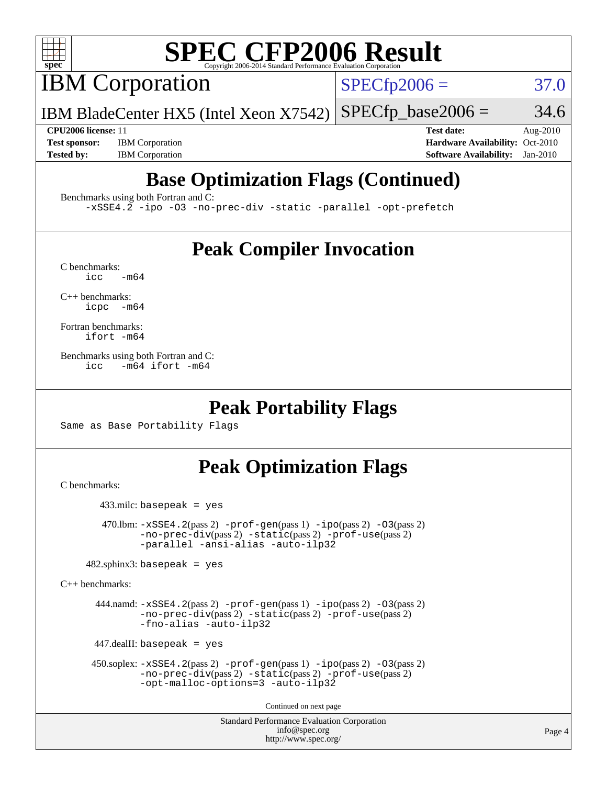

# **[SPEC CFP2006 Result](http://www.spec.org/auto/cpu2006/Docs/result-fields.html#SPECCFP2006Result)**

IBM Corporation

 $SPECfp2006 = 37.0$  $SPECfp2006 = 37.0$ 

IBM BladeCenter HX5 (Intel Xeon X7542)  $SPECTp\_base2006 = 34.6$ 

**[CPU2006 license:](http://www.spec.org/auto/cpu2006/Docs/result-fields.html#CPU2006license)** 11 **[Test date:](http://www.spec.org/auto/cpu2006/Docs/result-fields.html#Testdate)** Aug-2010 **[Test sponsor:](http://www.spec.org/auto/cpu2006/Docs/result-fields.html#Testsponsor)** IBM Corporation **[Hardware Availability:](http://www.spec.org/auto/cpu2006/Docs/result-fields.html#HardwareAvailability)** Oct-2010 **[Tested by:](http://www.spec.org/auto/cpu2006/Docs/result-fields.html#Testedby)** IBM Corporation **[Software Availability:](http://www.spec.org/auto/cpu2006/Docs/result-fields.html#SoftwareAvailability)** Jan-2010

## **[Base Optimization Flags \(Continued\)](http://www.spec.org/auto/cpu2006/Docs/result-fields.html#BaseOptimizationFlags)**

[Benchmarks using both Fortran and C](http://www.spec.org/auto/cpu2006/Docs/result-fields.html#BenchmarksusingbothFortranandC):

[-xSSE4.2](http://www.spec.org/cpu2006/results/res2010q3/cpu2006-20100831-13136.flags.html#user_CC_FCbase_f-xSSE42_f91528193cf0b216347adb8b939d4107) [-ipo](http://www.spec.org/cpu2006/results/res2010q3/cpu2006-20100831-13136.flags.html#user_CC_FCbase_f-ipo) [-O3](http://www.spec.org/cpu2006/results/res2010q3/cpu2006-20100831-13136.flags.html#user_CC_FCbase_f-O3) [-no-prec-div](http://www.spec.org/cpu2006/results/res2010q3/cpu2006-20100831-13136.flags.html#user_CC_FCbase_f-no-prec-div) [-static](http://www.spec.org/cpu2006/results/res2010q3/cpu2006-20100831-13136.flags.html#user_CC_FCbase_f-static) [-parallel](http://www.spec.org/cpu2006/results/res2010q3/cpu2006-20100831-13136.flags.html#user_CC_FCbase_f-parallel) [-opt-prefetch](http://www.spec.org/cpu2006/results/res2010q3/cpu2006-20100831-13136.flags.html#user_CC_FCbase_f-opt-prefetch)

### **[Peak Compiler Invocation](http://www.spec.org/auto/cpu2006/Docs/result-fields.html#PeakCompilerInvocation)**

 $C$  benchmarks:<br>icc  $-m64$ 

[C++ benchmarks:](http://www.spec.org/auto/cpu2006/Docs/result-fields.html#CXXbenchmarks) [icpc -m64](http://www.spec.org/cpu2006/results/res2010q3/cpu2006-20100831-13136.flags.html#user_CXXpeak_intel_icpc_64bit_bedb90c1146cab66620883ef4f41a67e)

[Fortran benchmarks](http://www.spec.org/auto/cpu2006/Docs/result-fields.html#Fortranbenchmarks): [ifort -m64](http://www.spec.org/cpu2006/results/res2010q3/cpu2006-20100831-13136.flags.html#user_FCpeak_intel_ifort_64bit_ee9d0fb25645d0210d97eb0527dcc06e)

[Benchmarks using both Fortran and C](http://www.spec.org/auto/cpu2006/Docs/result-fields.html#BenchmarksusingbothFortranandC): [icc -m64](http://www.spec.org/cpu2006/results/res2010q3/cpu2006-20100831-13136.flags.html#user_CC_FCpeak_intel_icc_64bit_0b7121f5ab7cfabee23d88897260401c) [ifort -m64](http://www.spec.org/cpu2006/results/res2010q3/cpu2006-20100831-13136.flags.html#user_CC_FCpeak_intel_ifort_64bit_ee9d0fb25645d0210d97eb0527dcc06e)

### **[Peak Portability Flags](http://www.spec.org/auto/cpu2006/Docs/result-fields.html#PeakPortabilityFlags)**

Same as Base Portability Flags

### **[Peak Optimization Flags](http://www.spec.org/auto/cpu2006/Docs/result-fields.html#PeakOptimizationFlags)**

[C benchmarks](http://www.spec.org/auto/cpu2006/Docs/result-fields.html#Cbenchmarks):

```
 433.milc: basepeak = yes
  470.1bm: -xSSE4. 2(pass 2) -prof-gen-ipo-O3(pass 2)-no-prec-div(pass 2) -static(pass 2) -prof-use(pass 2)
         -parallel -ansi-alias -auto-ilp32
482.sphinx3: basepeak = yes
```
[C++ benchmarks:](http://www.spec.org/auto/cpu2006/Docs/result-fields.html#CXXbenchmarks)

 444.namd: [-xSSE4.2](http://www.spec.org/cpu2006/results/res2010q3/cpu2006-20100831-13136.flags.html#user_peakPASS2_CXXFLAGSPASS2_LDFLAGS444_namd_f-xSSE42_f91528193cf0b216347adb8b939d4107)(pass 2) [-prof-gen](http://www.spec.org/cpu2006/results/res2010q3/cpu2006-20100831-13136.flags.html#user_peakPASS1_CXXFLAGSPASS1_LDFLAGS444_namd_prof_gen_e43856698f6ca7b7e442dfd80e94a8fc)(pass 1) [-ipo](http://www.spec.org/cpu2006/results/res2010q3/cpu2006-20100831-13136.flags.html#user_peakPASS2_CXXFLAGSPASS2_LDFLAGS444_namd_f-ipo)(pass 2) [-O3](http://www.spec.org/cpu2006/results/res2010q3/cpu2006-20100831-13136.flags.html#user_peakPASS2_CXXFLAGSPASS2_LDFLAGS444_namd_f-O3)(pass 2) [-no-prec-div](http://www.spec.org/cpu2006/results/res2010q3/cpu2006-20100831-13136.flags.html#user_peakPASS2_CXXFLAGSPASS2_LDFLAGS444_namd_f-no-prec-div)(pass 2) [-static](http://www.spec.org/cpu2006/results/res2010q3/cpu2006-20100831-13136.flags.html#user_peakPASS2_CXXFLAGSPASS2_LDFLAGS444_namd_f-static)(pass 2) [-prof-use](http://www.spec.org/cpu2006/results/res2010q3/cpu2006-20100831-13136.flags.html#user_peakPASS2_CXXFLAGSPASS2_LDFLAGS444_namd_prof_use_bccf7792157ff70d64e32fe3e1250b55)(pass 2) [-fno-alias](http://www.spec.org/cpu2006/results/res2010q3/cpu2006-20100831-13136.flags.html#user_peakOPTIMIZE444_namd_f-no-alias_694e77f6c5a51e658e82ccff53a9e63a) [-auto-ilp32](http://www.spec.org/cpu2006/results/res2010q3/cpu2006-20100831-13136.flags.html#user_peakCXXOPTIMIZE444_namd_f-auto-ilp32)

447.dealII: basepeak = yes

```
 450.soplex: -xSSE4.2(pass 2) -prof-gen(pass 1) -ipo(pass 2) -O3(pass 2)
         -no-prec-div(pass 2) -static(pass 2) -prof-use(pass 2)
         -opt-malloc-options=3 -auto-ilp32
```
Continued on next page

Standard Performance Evaluation Corporation [info@spec.org](mailto:info@spec.org) <http://www.spec.org/>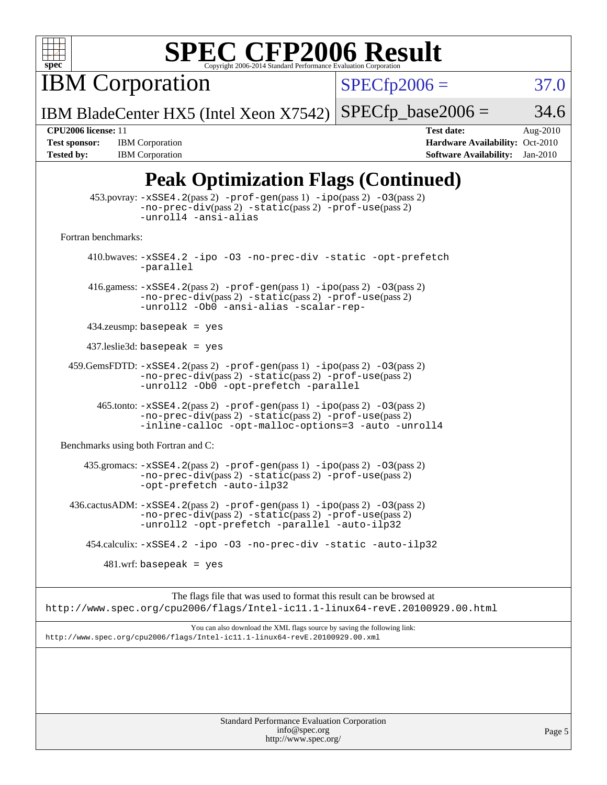

# **[SPEC CFP2006 Result](http://www.spec.org/auto/cpu2006/Docs/result-fields.html#SPECCFP2006Result)**

**IBM Corporation** 

 $SPECfp2006 = 37.0$  $SPECfp2006 = 37.0$ 

IBM BladeCenter HX5 (Intel Xeon X7542)  $SPECfp\_base2006 = 34.6$ 

**[Tested by:](http://www.spec.org/auto/cpu2006/Docs/result-fields.html#Testedby)** IBM Corporation **[Software Availability:](http://www.spec.org/auto/cpu2006/Docs/result-fields.html#SoftwareAvailability)** Jan-2010

**[CPU2006 license:](http://www.spec.org/auto/cpu2006/Docs/result-fields.html#CPU2006license)** 11 **[Test date:](http://www.spec.org/auto/cpu2006/Docs/result-fields.html#Testdate)** Aug-2010 **[Test sponsor:](http://www.spec.org/auto/cpu2006/Docs/result-fields.html#Testsponsor)** IBM Corporation **[Hardware Availability:](http://www.spec.org/auto/cpu2006/Docs/result-fields.html#HardwareAvailability)** Oct-2010

## **[Peak Optimization Flags \(Continued\)](http://www.spec.org/auto/cpu2006/Docs/result-fields.html#PeakOptimizationFlags)**

| Standard Performance Evaluation Corporation<br>info@spec.org<br>Page 5                                                                                                                             |  |
|----------------------------------------------------------------------------------------------------------------------------------------------------------------------------------------------------|--|
|                                                                                                                                                                                                    |  |
| You can also download the XML flags source by saving the following link:<br>http://www.spec.org/cpu2006/flags/Intel-ic11.1-linux64-revE.20100929.00.xml                                            |  |
| The flags file that was used to format this result can be browsed at<br>http://www.spec.org/cpu2006/flags/Intel-ic11.1-linux64-revE.20100929.00.html                                               |  |
| $481.wrf$ : basepeak = yes                                                                                                                                                                         |  |
| 454.calculix: -xSSE4.2 -ipo -03 -no-prec-div -static -auto-ilp32                                                                                                                                   |  |
| 436.cactusADM: -xSSE4.2(pass 2) -prof-gen(pass 1) -ipo(pass 2) -03(pass 2)<br>-no-prec-div(pass 2) -static(pass 2) -prof-use(pass 2)<br>-unroll2 -opt-prefetch -parallel -auto-ilp32               |  |
| 435.gromacs: $-xSSE4$ . 2(pass 2) $-prof-gen(pass 1) -ipo(pass 2) -03(pass 2)$<br>-no-prec-div(pass 2) -static(pass 2) -prof-use(pass 2)<br>-opt-prefetch -auto-ilp32                              |  |
| Benchmarks using both Fortran and C:                                                                                                                                                               |  |
| $465$ .tonto: $-xSSE4$ . 2(pass 2) $-prof-gen(pass 1) -ipo(pass 2) -03(pass 2)$<br>$-no-prec-div(pass 2) -static(pass 2) -prof-use(pass 2)$<br>-inline-calloc -opt-malloc-options=3 -auto -unroll4 |  |
| 459.GemsFDTD: -xSSE4.2(pass 2) -prof-gen(pass 1) -ipo(pass 2) -03(pass 2)<br>$-no\text{-prec-div}(pass 2)$ $-static(pass 2)$ $-prot\text{-use}(pass 2)$<br>-unroll2 -Ob0 -opt-prefetch -parallel   |  |
| $437$ leslie3d: basepeak = yes                                                                                                                                                                     |  |
| $434$ .zeusmp: basepeak = yes                                                                                                                                                                      |  |
| 416.gamess: $-xSSE4$ . 2(pass 2) $-prof-gen(pass 1) -ipo(pass 2) -O3(pass 2)$<br>-no-prec-div(pass 2) -static(pass 2) -prof-use(pass 2)<br>-unroll2 -Ob0 -ansi-alias -scalar-rep-                  |  |
| 410.bwaves: -xSSE4.2 -ipo -03 -no-prec-div -static -opt-prefetch<br>-parallel                                                                                                                      |  |
| Fortran benchmarks:                                                                                                                                                                                |  |
| 453.povray: -xSSE4.2(pass 2) -prof-gen(pass 1) -ipo(pass 2) -03(pass 2)<br>-no-prec-div(pass 2) -static(pass 2) -prof-use(pass 2)<br>-unroll4 -ansi-alias                                          |  |
|                                                                                                                                                                                                    |  |

<http://www.spec.org/>